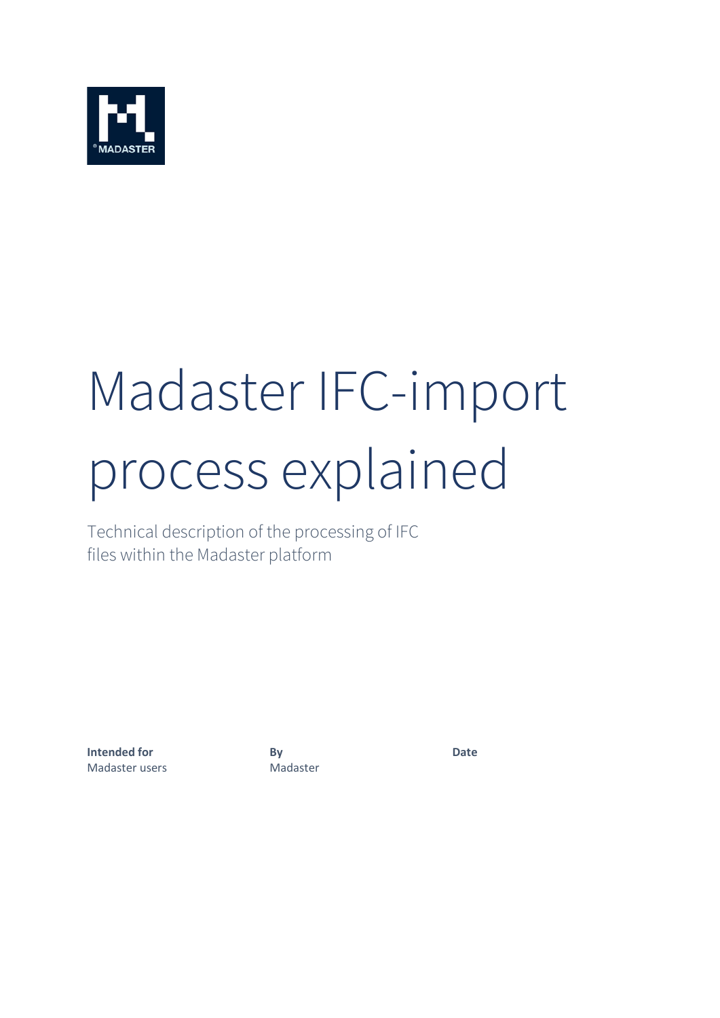

# Madaster IFC-import process explained

Technical description of the processing of IFC files within the Madaster platform

**Intended for By Date** Madaster users Madaster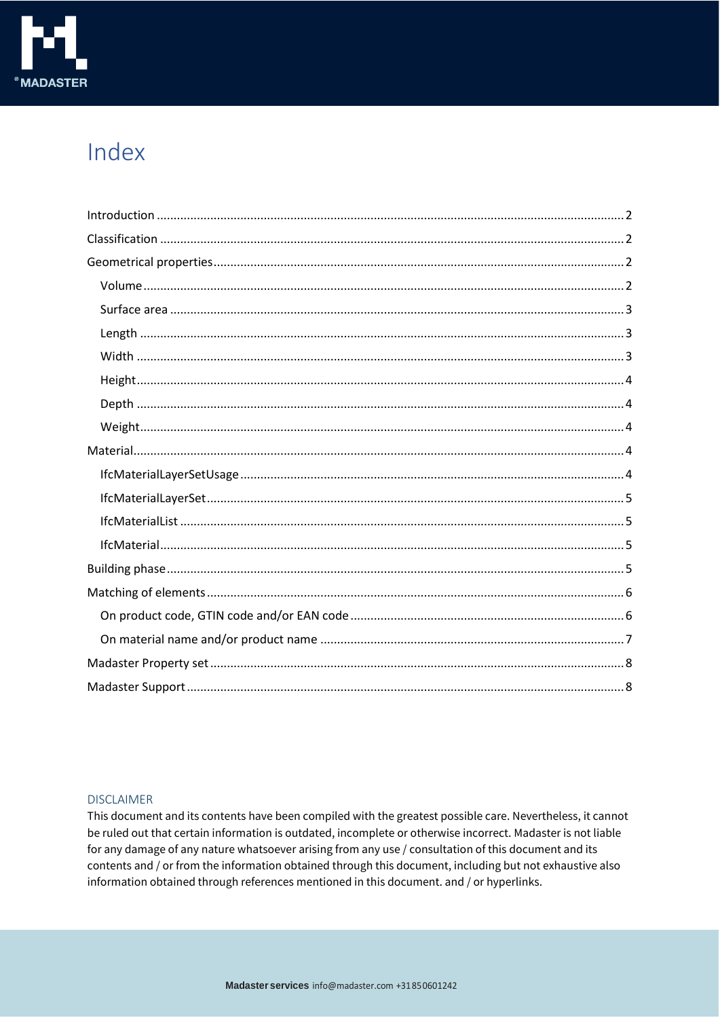

## Index

#### **DISCLAIMER**

This document and its contents have been compiled with the greatest possible care. Nevertheless, it cannot be ruled out that certain information is outdated, incomplete or otherwise incorrect. Madaster is not liable for any damage of any nature whatsoever arising from any use / consultation of this document and its contents and / or from the information obtained through this document, including but not exhaustive also information obtained through references mentioned in this document. and / or hyperlinks.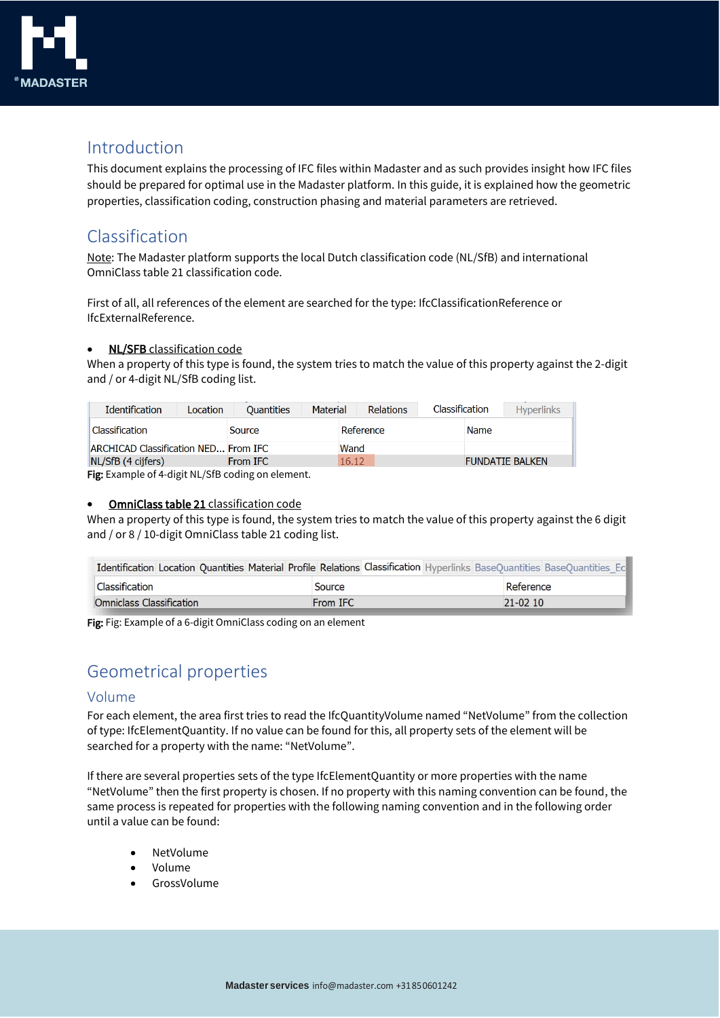

## <span id="page-2-0"></span>Introduction

This document explains the processing of IFC files within Madaster and as such provides insight how IFC files should be prepared for optimal use in the Madaster platform. In this guide, it is explained how the geometric properties, classification coding, construction phasing and material parameters are retrieved.

### <span id="page-2-1"></span>Classification

Note: The Madaster platform supports the local Dutch classification code (NL/SfB) and international OmniClass table 21 classification code.

First of all, all references of the element are searched for the type: IfcClassificationReference or IfcExternalReference.

#### • NL/SFB classification code

When a property of this type is found, the system tries to match the value of this property against the 2-digit and / or 4-digit NL/SfB coding list.

| <b>Identification</b><br>Location    | Material<br><b>Ouantities</b> | Classification<br><b>Relations</b> | <b>Hyperlinks</b>      |
|--------------------------------------|-------------------------------|------------------------------------|------------------------|
| Classification                       | Source                        | Reference                          | Name                   |
| ARCHICAD Classification NED From IFC |                               | Wand                               |                        |
| NL/SfB(4 cijfers)                    | From IFC                      | 16.12                              | <b>FUNDATIE BALKEN</b> |

Fig: Example of 4-digit NL/SfB coding on element.

#### • OmniClass table 21 classification code

When a property of this type is found, the system tries to match the value of this property against the 6 digit and / or 8 / 10-digit OmniClass table 21 coding list.

| Identification Location Quantities Material Profile Relations Classification Hyperlinks BaseQuantities BaseQuantities Ec |          |             |
|--------------------------------------------------------------------------------------------------------------------------|----------|-------------|
| Classification                                                                                                           | Source   | Reference   |
| Omniclass Classification                                                                                                 | From IFC | $21 - 0210$ |

Fig: Fig: Example of a 6-digit OmniClass coding on an element

## <span id="page-2-2"></span>Geometrical properties

#### <span id="page-2-3"></span>Volume

For each element, the area first tries to read the IfcQuantityVolume named "NetVolume" from the collection of type: IfcElementQuantity. If no value can be found for this, all property sets of the element will be searched for a property with the name: "NetVolume".

If there are several properties sets of the type IfcElementQuantity or more properties with the name "NetVolume" then the first property is chosen. If no property with this naming convention can be found, the same process is repeated for properties with the following naming convention and in the following order until a value can be found:

- NetVolume
- Volume
- GrossVolume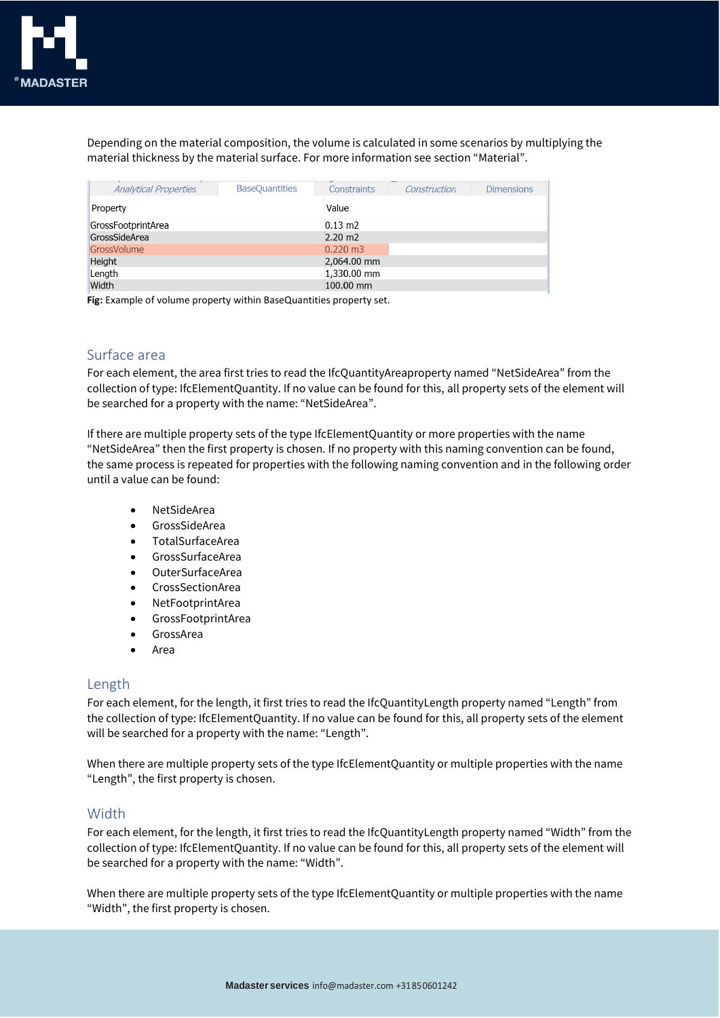Depending on the material composition, the volume is calculated in some scenarios by multiplying the material thickness by the material surface. For more information see section "Material".

| <b>Analytical Properties</b> | <b>BaseQuantities</b> | Constraints         | Construction | <b>Dimensions</b> |  |  |  |
|------------------------------|-----------------------|---------------------|--------------|-------------------|--|--|--|
| Property                     |                       |                     | Value        |                   |  |  |  |
| GrossFootprintArea           |                       | $0.13 \text{ m}$    |              |                   |  |  |  |
| GrossSideArea                |                       | $2.20 \text{ m}$    |              |                   |  |  |  |
| GrossVolume                  |                       | $0.220 \text{ m}$ 3 |              |                   |  |  |  |
| <b>Height</b>                |                       | 2,064.00 mm         |              |                   |  |  |  |
| Length                       |                       | 1,330.00 mm         |              |                   |  |  |  |
| <b>Width</b>                 |                       | $100.00$ mm         |              |                   |  |  |  |

**Fig:** Example of volume property within BaseQuantities property set.

#### <span id="page-3-0"></span>Surface area

For each element, the area first tries to read the IfcQuantityAreaproperty named "NetSideArea" from the collection of type: IfcElementQuantity. If no value can be found for this, all property sets of the element will be searched for a property with the name: "NetSideArea".

If there are multiple property sets of the type IfcElementQuantity or more properties with the name "NetSideArea" then the first property is chosen. If no property with this naming convention can be found, the same process is repeated for properties with the following naming convention and in the following order until a value can be found:

- NetSideArea
- GrossSideArea
- TotalSurfaceArea
- GrossSurfaceArea
- OuterSurfaceArea
- CrossSectionArea
- NetFootprintArea
- GrossFootprintArea
- **GrossArea**
- Area

#### <span id="page-3-1"></span>Length

For each element, for the length, it first tries to read the IfcQuantityLength property named "Length" from the collection of type: IfcElementQuantity. If no value can be found for this, all property sets of the element will be searched for a property with the name: "Length".

When there are multiple property sets of the type IfcElementQuantity or multiple properties with the name "Length", the first property is chosen.

#### <span id="page-3-2"></span>Width

For each element, for the length, it first tries to read the IfcQuantityLength property named "Width" from the collection of type: IfcElementQuantity. If no value can be found for this, all property sets of the element will be searched for a property with the name: "Width".

When there are multiple property sets of the type IfcElementQuantity or multiple properties with the name "Width", the first property is chosen.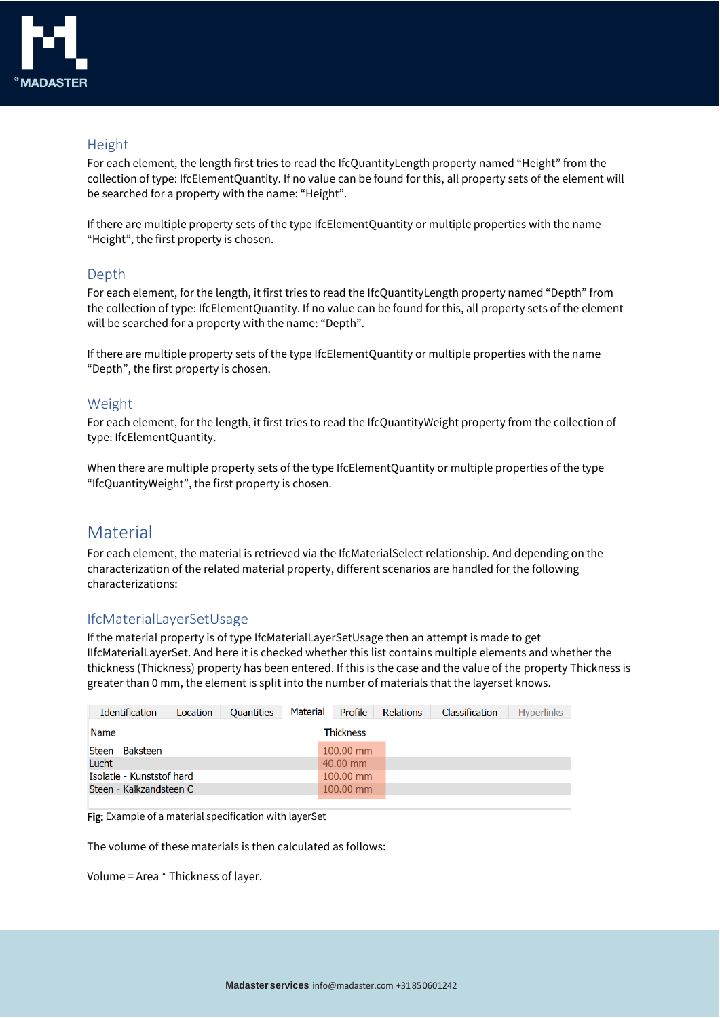

#### <span id="page-4-0"></span>Height

For each element, the length first tries to read the IfcQuantityLength property named "Height" from the collection of type: IfcElementQuantity. If no value can be found for this, all property sets of the element will be searched for a property with the name: "Height".

If there are multiple property sets of the type IfcElementQuantity or multiple properties with the name "Height", the first property is chosen.

#### <span id="page-4-1"></span>Depth

For each element, for the length, it first tries to read the IfcQuantityLength property named "Depth" from the collection of type: IfcElementQuantity. If no value can be found for this, all property sets of the element will be searched for a property with the name: "Depth".

If there are multiple property sets of the type IfcElementQuantity or multiple properties with the name "Depth", the first property is chosen.

#### <span id="page-4-2"></span>Weight

For each element, for the length, it first tries to read the IfcQuantityWeight property from the collection of type: IfcElementQuantity.

When there are multiple property sets of the type IfcElementQuantity or multiple properties of the type "IfcQuantityWeight", the first property is chosen.

#### <span id="page-4-3"></span>Material

For each element, the material is retrieved via the IfcMaterialSelect relationship. And depending on the characterization of the related material property, different scenarios are handled for the following characterizations:

#### <span id="page-4-4"></span>IfcMaterialLayerSetUsage

If the material property is of type IfcMaterialLayerSetUsage then an attempt is made to get IIfcMaterialLayerSet. And here it is checked whether this list contains multiple elements and whether the thickness (Thickness) property has been entered. If this is the case and the value of the property Thickness is greater than 0 mm, the element is split into the number of materials that the layerset knows.

| <b>Identification</b>     | Location | <b>Quantities</b> | Material | Profile          | Relations | <b>Classification</b> | <b>Hyperlinks</b> |
|---------------------------|----------|-------------------|----------|------------------|-----------|-----------------------|-------------------|
| <b>Name</b>               |          |                   |          | <b>Thickness</b> |           |                       |                   |
| <b>Steen - Baksteen</b>   |          |                   |          | $100.00$ mm      |           |                       |                   |
| Lucht                     |          |                   |          | 40.00 mm         |           |                       |                   |
| Isolatie - Kunststof hard |          |                   |          | $100.00$ mm      |           |                       |                   |
| Steen - Kalkzandsteen C   |          |                   |          | $100.00$ mm      |           |                       |                   |
|                           |          |                   |          |                  |           |                       |                   |

Fig: Example of a material specification with layerSet

The volume of these materials is then calculated as follows:

Volume = Area \* Thickness of layer.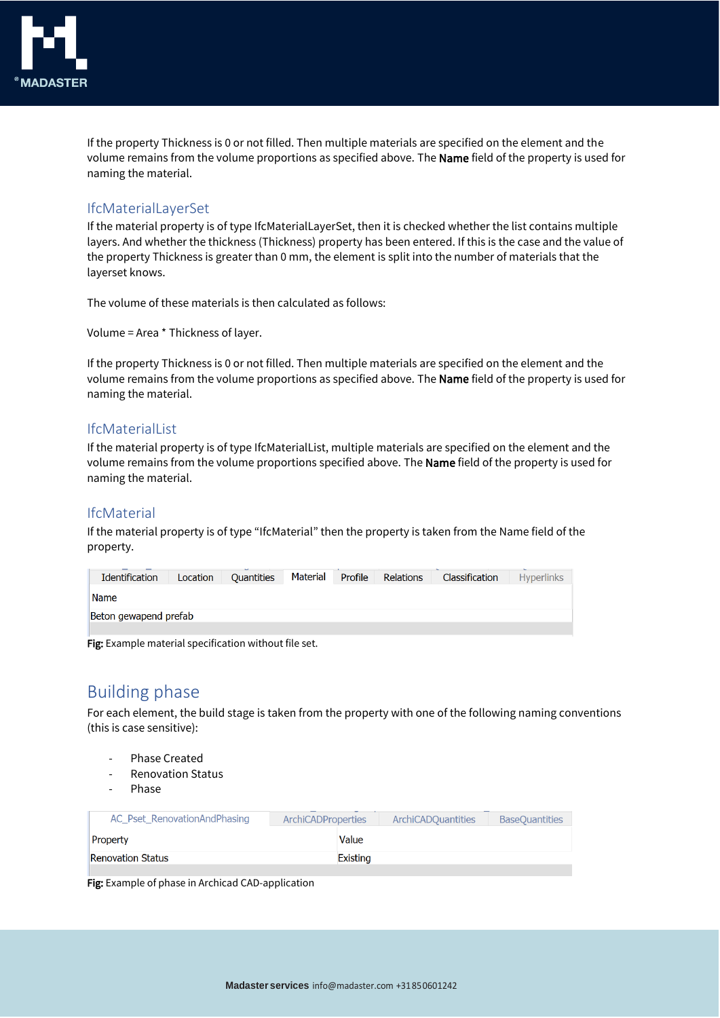

If the property Thickness is 0 or not filled. Then multiple materials are specified on the element and the volume remains from the volume proportions as specified above. The Name field of the property is used for naming the material.

#### <span id="page-5-0"></span>IfcMaterialLayerSet

If the material property is of type IfcMaterialLayerSet, then it is checked whether the list contains multiple layers. And whether the thickness (Thickness) property has been entered. If this is the case and the value of the property Thickness is greater than 0 mm, the element is split into the number of materials that the layerset knows.

The volume of these materials is then calculated as follows:

Volume = Area \* Thickness of layer.

If the property Thickness is 0 or not filled. Then multiple materials are specified on the element and the volume remains from the volume proportions as specified above. The Name field of the property is used for naming the material.

#### <span id="page-5-1"></span>IfcMaterialList

If the material property is of type IfcMaterialList, multiple materials are specified on the element and the volume remains from the volume proportions specified above. The Name field of the property is used for naming the material.

#### <span id="page-5-2"></span>IfcMaterial

If the material property is of type "IfcMaterial" then the property is taken from the Name field of the property.

| Identification        | Location | Quantities | Material | Profile | <b>Relations</b> | Classification | <b>Hyperlinks</b> |
|-----------------------|----------|------------|----------|---------|------------------|----------------|-------------------|
| <b>Name</b>           |          |            |          |         |                  |                |                   |
| Beton gewapend prefab |          |            |          |         |                  |                |                   |
|                       |          |            |          |         |                  |                |                   |

Fig: Example material specification without file set.

## <span id="page-5-3"></span>Building phase

For each element, the build stage is taken from the property with one of the following naming conventions (this is case sensitive):

- Phase Created
- Renovation Status
- Phase

| AC Pset RenovationAndPhasing | <b>ArchiCADProperties</b> | ArchiCADOuantities | <b>BaseOuantities</b> |
|------------------------------|---------------------------|--------------------|-----------------------|
| Property                     | Value                     |                    |                       |
| Renovation Status            | Existing                  |                    |                       |
|                              |                           |                    |                       |

Fig: Example of phase in Archicad CAD-application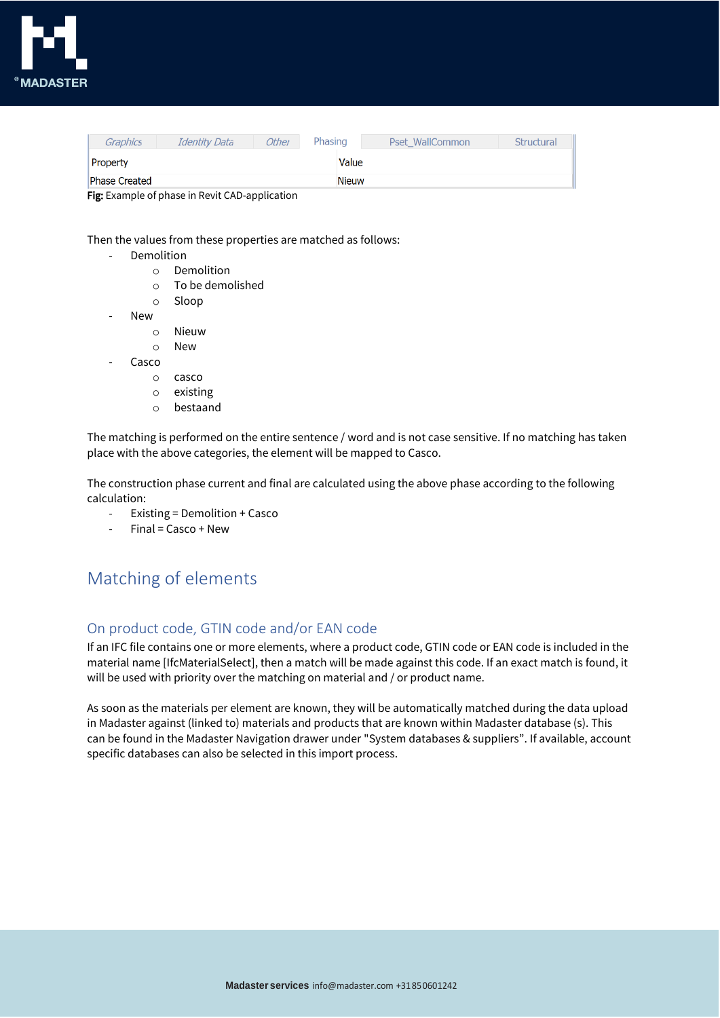

| Graphics             | Identity Data | Other | Phasing      | Pset WallCommon | Structural |
|----------------------|---------------|-------|--------------|-----------------|------------|
| Property             |               |       | Value        |                 |            |
| <b>Phase Created</b> |               |       | <b>Nieuw</b> |                 |            |

Fig: Example of phase in Revit CAD-application

Then the values from these properties are matched as follows:

- **Demolition** 
	- o Demolition
	- o To be demolished
	- o Sloop
- New
	- o Nieuw
	- o New
- Casco
	- o casco
	- o existing
	- o bestaand

The matching is performed on the entire sentence / word and is not case sensitive. If no matching has taken place with the above categories, the element will be mapped to Casco.

The construction phase current and final are calculated using the above phase according to the following calculation:

- Existing = Demolition + Casco
- $Final = Casco + New$

## <span id="page-6-0"></span>Matching of elements

#### <span id="page-6-1"></span>On product code, GTIN code and/or EAN code

If an IFC file contains one or more elements, where a product code, GTIN code or EAN code is included in the material name [IfcMaterialSelect], then a match will be made against this code. If an exact match is found, it will be used with priority over the matching on material and / or product name.

As soon as the materials per element are known, they will be automatically matched during the data upload in Madaster against (linked to) materials and products that are known within Madaster database (s). This can be found in the Madaster Navigation drawer under "System databases & suppliers". If available, account specific databases can also be selected in this import process.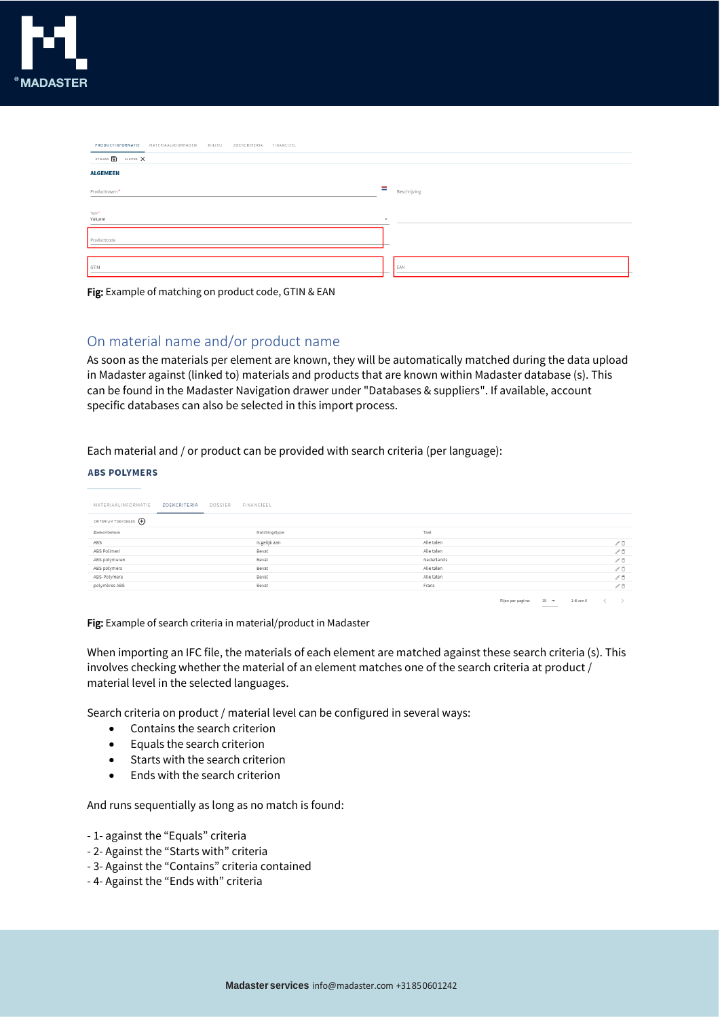

| PRODUCTINFORMATIE MATERIAALVOORRADEN<br>MILIEU<br>ZOEKCRITERIA FINANCIEEL |                          |
|---------------------------------------------------------------------------|--------------------------|
| OPSLAAN <b>1</b> SLUITEN X                                                |                          |
| <b>ALGEMEEN</b>                                                           |                          |
|                                                                           | ÷                        |
| Productnaam*                                                              | Beschrijving             |
| Type*                                                                     |                          |
| Volume                                                                    | $\overline{\phantom{a}}$ |
| Productcode                                                               |                          |
|                                                                           |                          |
| GTIN                                                                      | EAN                      |
|                                                                           |                          |

Fig: Example of matching on product code, GTIN & EAN

#### <span id="page-7-0"></span>On material name and/or product name

As soon as the materials per element are known, they will be automatically matched during the data upload in Madaster against (linked to) materials and products that are known within Madaster database (s). This can be found in the Madaster Navigation drawer under "Databases & suppliers". If available, account specific databases can also be selected in this import process.

Each material and / or product can be provided with search criteria (per language):

#### **ABS POLYMERS**

| MATERIAALINFORMATIE<br>ZOEKCRITERIA | DOSSIER<br>FINANCIEEL |            |                   |                                                                                                                                                                                                                                                                                                                                                                                                                                                                                        |           |                               |
|-------------------------------------|-----------------------|------------|-------------------|----------------------------------------------------------------------------------------------------------------------------------------------------------------------------------------------------------------------------------------------------------------------------------------------------------------------------------------------------------------------------------------------------------------------------------------------------------------------------------------|-----------|-------------------------------|
| CRITERIUM TOEVOEGEN (+)             |                       |            |                   |                                                                                                                                                                                                                                                                                                                                                                                                                                                                                        |           |                               |
| Zoekcriterium                       | Matchingstype         | Taal       |                   |                                                                                                                                                                                                                                                                                                                                                                                                                                                                                        |           |                               |
| ABS                                 | Is gelijk aan         | Alle talen |                   |                                                                                                                                                                                                                                                                                                                                                                                                                                                                                        |           | $\angle$ 0                    |
| ABS Polimeri                        | Bevat                 | Alle talen |                   |                                                                                                                                                                                                                                                                                                                                                                                                                                                                                        |           | $\mathcal{N}$ $\bar{\square}$ |
| ABS polymeren                       | Bevat                 | Nederlands |                   |                                                                                                                                                                                                                                                                                                                                                                                                                                                                                        |           | $\mathcal{O}$ O               |
| ABS polymers                        | Bevat                 | Alle talen |                   |                                                                                                                                                                                                                                                                                                                                                                                                                                                                                        |           | $\mathcal{N}$ $\bar{\Box}$    |
| ABS-Polymere                        | Bevat                 | Alle talen |                   |                                                                                                                                                                                                                                                                                                                                                                                                                                                                                        |           | $\mathcal{O}$                 |
| polymères ABS                       | Bevat                 | Frans      |                   |                                                                                                                                                                                                                                                                                                                                                                                                                                                                                        |           | $\mathcal{N}$ $\bar{\square}$ |
|                                     |                       |            | Rijen per pagina: | $10 - 7$<br>$\frac{1}{2} \left( \frac{1}{2} \right) \left( \frac{1}{2} \right) \left( \frac{1}{2} \right) \left( \frac{1}{2} \right) \left( \frac{1}{2} \right) \left( \frac{1}{2} \right) \left( \frac{1}{2} \right) \left( \frac{1}{2} \right) \left( \frac{1}{2} \right) \left( \frac{1}{2} \right) \left( \frac{1}{2} \right) \left( \frac{1}{2} \right) \left( \frac{1}{2} \right) \left( \frac{1}{2} \right) \left( \frac{1}{2} \right) \left( \frac{1}{2} \right) \left( \frac$ | 1-6 van 6 |                               |

Fig: Example of search criteria in material/product in Madaster

When importing an IFC file, the materials of each element are matched against these search criteria (s). This involves checking whether the material of an element matches one of the search criteria at product / material level in the selected languages.

Search criteria on product / material level can be configured in several ways:

- Contains the search criterion
- Equals the search criterion
- Starts with the search criterion
- Ends with the search criterion

And runs sequentially as long as no match is found:

- 1- against the "Equals" criteria
- 2- Against the "Starts with" criteria
- 3- Against the "Contains" criteria contained
- 4- Against the "Ends with" criteria